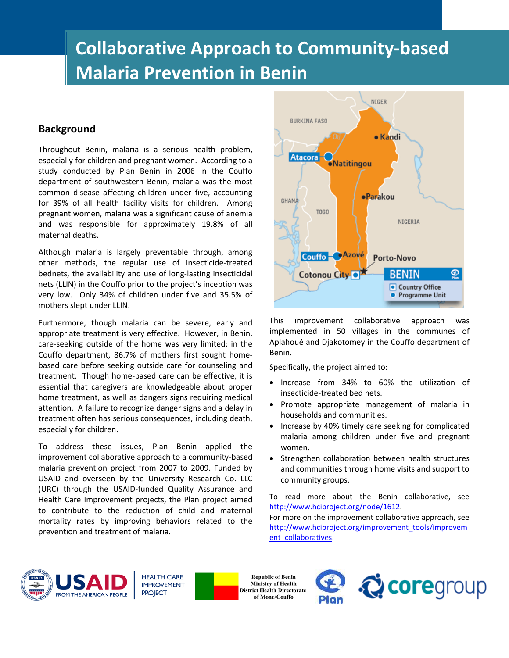# **Collaborative Approach to Community-based Malaria Prevention in Benin**

### **Background**

Throughout Benin, malaria is a serious health problem, especially for children and pregnant women. According to a study conducted by Plan Benin in 2006 in the Couffo department of southwestern Benin, malaria was the most common disease affecting children under five, accounting for 39% of all health facility visits for children. Among pregnant women, malaria was a significant cause of anemia and was responsible for approximately 19.8% of all maternal deaths.

Although malaria is largely preventable through, among other methods, the regular use of insecticide-treated bednets, the availability and use of long-lasting insecticidal nets (LLIN) in the Couffo prior to the project's inception was very low. Only 34% of children under five and 35.5% of mothers slept under LLIN.

Furthermore, though malaria can be severe, early and appropriate treatment is very effective. However, in Benin, care-seeking outside of the home was very limited; in the Couffo department, 86.7% of mothers first sought homebased care before seeking outside care for counseling and treatment. Though home-based care can be effective, it is essential that caregivers are knowledgeable about proper home treatment, as well as dangers signs requiring medical attention. A failure to recognize danger signs and a delay in treatment often has serious consequences, including death, especially for children.

To address these issues, Plan Benin applied the improvement collaborative approach to a community-based malaria prevention project from 2007 to 2009. Funded by USAID and overseen by the University Research Co. LLC (URC) through the USAID-funded Quality Assurance and Health Care Improvement projects, the Plan project aimed to contribute to the reduction of child and maternal mortality rates by improving behaviors related to the prevention and treatment of malaria.



This improvement collaborative approach was implemented in 50 villages in the communes of Aplahoué and Djakotomey in the Couffo department of Benin.

Specifically, the project aimed to:

- Increase from 34% to 60% the utilization of insecticide-treated bed nets.
- Promote appropriate management of malaria in households and communities.
- Increase by 40% timely care seeking for complicated malaria among children under five and pregnant women.
- Strengthen collaboration between health structures and communities through home visits and support to community groups.

To read more about the Benin collaborative, see [http://www.hciproject.org/node/1612.](http://www.hciproject.org/node/1612) 

For more on the improvement collaborative approach, see [http://www.hciproject.org/improvement\\_tools/improvem](http://www.hciproject.org/improvement_tools/improvement_collaboratives) [ent\\_collaboratives.](http://www.hciproject.org/improvement_tools/improvement_collaboratives)



**HEALTH CARE IMPROVEMENT PROJECT** 

**Republic of Benin Ministry of Health District Health Directorate** of Mono/Couffo

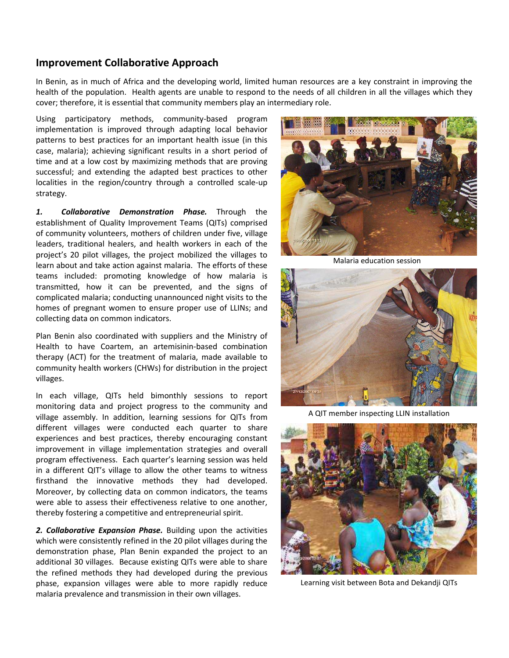## **Improvement Collaborative Approach**

In Benin, as in much of Africa and the developing world, limited human resources are a key constraint in improving the health of the population. Health agents are unable to respond to the needs of all children in all the villages which they cover; therefore, it is essential that community members play an intermediary role.

Using participatory methods, community-based program implementation is improved through adapting local behavior patterns to best practices for an important health issue (in this case, malaria); achieving significant results in a short period of time and at a low cost by maximizing methods that are proving successful; and extending the adapted best practices to other localities in the region/country through a controlled scale-up strategy.

*1. Collaborative Demonstration Phase.* Through the establishment of Quality Improvement Teams (QITs) comprised of community volunteers, mothers of children under five, village leaders, traditional healers, and health workers in each of the project's 20 pilot villages, the project mobilized the villages to learn about and take action against malaria. The efforts of these teams included: promoting knowledge of how malaria is transmitted, how it can be prevented, and the signs of complicated malaria; conducting unannounced night visits to the homes of pregnant women to ensure proper use of LLINs; and collecting data on common indicators.

Plan Benin also coordinated with suppliers and the Ministry of Health to have Coartem, an artemisinin-based combination therapy (ACT) for the treatment of malaria, made available to community health workers (CHWs) for distribution in the project villages.

In each village, QITs held bimonthly sessions to report monitoring data and project progress to the community and village assembly. In addition, learning sessions for QITs from different villages were conducted each quarter to share experiences and best practices, thereby encouraging constant improvement in village implementation strategies and overall program effectiveness. Each quarter's learning session was held in a different QIT's village to allow the other teams to witness firsthand the innovative methods they had developed. Moreover, by collecting data on common indicators, the teams were able to assess their effectiveness relative to one another, thereby fostering a competitive and entrepreneurial spirit.

*2. Collaborative Expansion Phase.* Building upon the activities which were consistently refined in the 20 pilot villages during the demonstration phase, Plan Benin expanded the project to an additional 30 villages. Because existing QITs were able to share the refined methods they had developed during the previous phase, expansion villages were able to more rapidly reduce malaria prevalence and transmission in their own villages.



Malaria education session



A QIT member inspecting LLIN installation



Learning visit between Bota and Dekandji QITs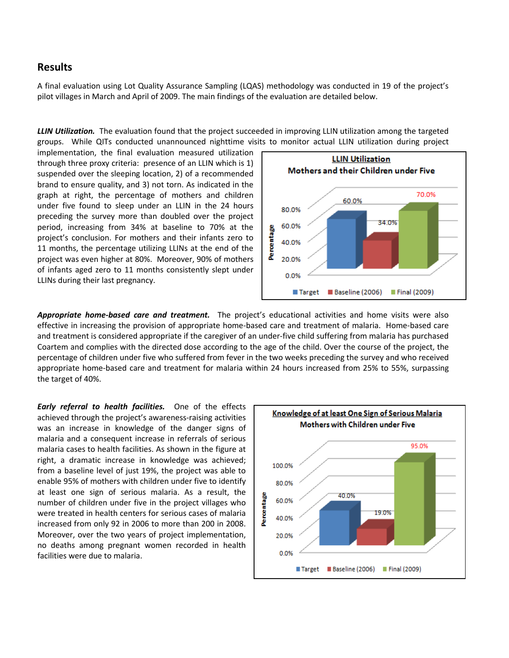#### **Results**

A final evaluation using Lot Quality Assurance Sampling (LQAS) methodology was conducted in 19 of the project's pilot villages in March and April of 2009. The main findings of the evaluation are detailed below.

*LLIN Utilization.* The evaluation found that the project succeeded in improving LLIN utilization among the targeted groups.While QITs conducted unannounced nighttime visits to monitor actual LLIN utilization during project

implementation, the final evaluation measured utilization through three proxy criteria: presence of an LLIN which is 1) suspended over the sleeping location, 2) of a recommended brand to ensure quality, and 3) not torn. As indicated in the graph at right, the percentage of mothers and children under five found to sleep under an LLIN in the 24 hours preceding the survey more than doubled over the project period, increasing from 34% at baseline to 70% at the project's conclusion. For mothers and their infants zero to 11 months, the percentage utilizing LLINs at the end of the project was even higher at 80%. Moreover, 90% of mothers of infants aged zero to 11 months consistently slept under LLINs during their last pregnancy.



*Appropriate home-based care and treatment.* The project's educational activities and home visits were also effective in increasing the provision of appropriate home-based care and treatment of malaria. Home-based care and treatment is considered appropriate if the caregiver of an under-five child suffering from malaria has purchased Coartem and complies with the directed dose according to the age of the child. Over the course of the project, the percentage of children under five who suffered from fever in the two weeks preceding the survey and who received appropriate home-based care and treatment for malaria within 24 hours increased from 25% to 55%, surpassing the target of 40%.

*Early referral to health facilities.* One of the effects achieved through the project's awareness-raising activities was an increase in knowledge of the danger signs of malaria and a consequent increase in referrals of serious malaria cases to health facilities. As shown in the figure at right, a dramatic increase in knowledge was achieved; from a baseline level of just 19%, the project was able to enable 95% of mothers with children under five to identify at least one sign of serious malaria. As a result, the number of children under five in the project villages who were treated in health centers for serious cases of malaria increased from only 92 in 2006 to more than 200 in 2008. Moreover, over the two years of project implementation, no deaths among pregnant women recorded in health facilities were due to malaria.